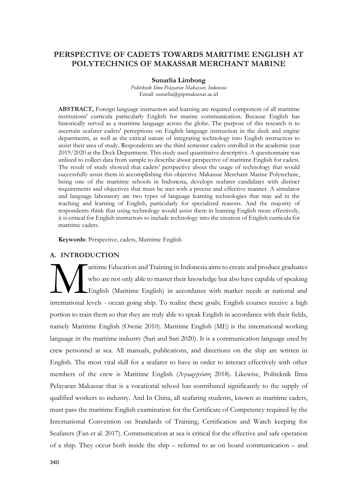# **PERSPECTIVE OF CADETS TOWARDS MARITIME ENGLISH AT POLYTECHNICS OF MAKASSAR MERCHANT MARINE**

### **Sunarlia Limbong**

*Politeknik Ilmu Pelayaran Makassar, Indonesia* Email: sunarlia@pipmakassar.ac.id

**ABSTRACT,** Foreign language instruction and learning are required component of all maritime institutions' curricula particularly English for marine communication. Because English has historically served as a maritime language across the globe. The purpose of this research is to ascertain seafarer cadets' perceptions on English language instruction in the deck and engine departments, as well as the critical nature of integrating technology into English instruction to assist their area of study. Respondents are the third semester cadets enrolled in the academic year 2019/2020 at the Deck Department. This study used quantitative descriptive. A questionnaire was utilized to collect data from sample to describe about perspective of maritime English for cadets. The result of study showed that cadets' perspective about the usage of technology that would successfully assist them in accomplishing this objective Makassar Merchant Marine Polytechnic, being one of the maritime schools in Indonesia, develops seafarer candidates with distinct requirements and objectives that must be met with a precise and effective manner. A simulator and language laboratory are two types of language learning technologies that may aid in the teaching and learning of English, particularly for specialized reasons. And the majority of respondents think that using technology would assist them in learning English more effectively, it is critical for English instructors to include technology into the creation of English curricula for maritime cadets.

**Keywords**: Perspective, cadets, Maritime English

## **A. INTRODUCTION**

aritime Education and Training in Indonesia aims to create and produce graduates who are not only able to master their knowledge but also have capable of speaking English (Maritime English) in accordance with market needs at national and international levels - ocean going ship. To realize these goals; English courses receive a high portion to train them so that they are truly able to speak English in accordance with their fields, namely Maritime English (Ownie 2010). Maritime English (ME) is the international working language in the maritime industry (Sari and Sari 2020). It is a communication language used by crew personnel at sea. All manuals, publications, and directions on the ship are written in English. The most vital skill for a seafarer to have in order to interact effectively with other members of the crew is Maritime English (Αγιωργούση 2018). Likewise, Politeknik Ilmu Pelayaran Makassar that is a vocational school has contributed significantly to the supply of qualified workers to industry. And In China, all seafaring students, known as maritime cadets, must pass the maritime English examination for the Certificate of Competency required by the International Convention on Standards of Training, Certification and Watch keeping for Seafarers (Fan et al. 2017). Communication at sea is critical for the effective and safe operation of a ship. They occur both inside the ship – referred to as on board communication – and M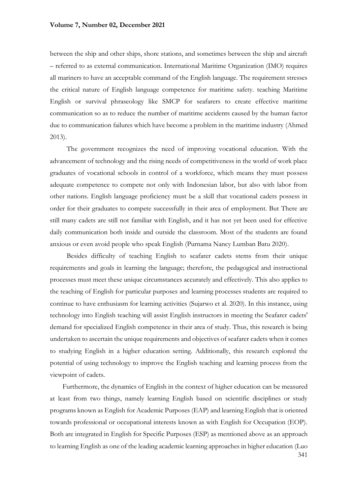### **Volume 7, Number 02, December 2021**

between the ship and other ships, shore stations, and sometimes between the ship and aircraft – referred to as external communication. International Maritime Organization (IMO) requires all mariners to have an acceptable command of the English language. The requirement stresses the critical nature of English language competence for maritime safety. teaching Maritime English or survival phraseology like SMCP for seafarers to create effective maritime communication so as to reduce the number of maritime accidents caused by the human factor due to communication failures which have become a problem in the maritime industry (Ahmed 2013).

The government recognizes the need of improving vocational education. With the advancement of technology and the rising needs of competitiveness in the world of work place graduates of vocational schools in control of a workforce, which means they must possess adequate competence to compete not only with Indonesian labor, but also with labor from other nations. English language proficiency must be a skill that vocational cadets possess in order for their graduates to compete successfully in their area of employment. But There are still many cadets are still not familiar with English, and it has not yet been used for effective daily communication both inside and outside the classroom. Most of the students are found anxious or even avoid people who speak English (Purnama Nancy Lumban Batu 2020).

Besides difficulty of teaching English to seafarer cadets stems from their unique requirements and goals in learning the language; therefore, the pedagogical and instructional processes must meet these unique circumstances accurately and effectively. This also applies to the teaching of English for particular purposes and learning processes students are required to continue to have enthusiasm for learning activities (Sujarwo et al. 2020). In this instance, using technology into English teaching will assist English instructors in meeting the Seafarer cadets' demand for specialized English competence in their area of study. Thus, this research is being undertaken to ascertain the unique requirements and objectives of seafarer cadets when it comes to studying English in a higher education setting. Additionally, this research explored the potential of using technology to improve the English teaching and learning process from the viewpoint of cadets.

341 Furthermore, the dynamics of English in the context of higher education can be measured at least from two things, namely learning English based on scientific disciplines or study programs known as English for Academic Purposes (EAP) and learning English that is oriented towards professional or occupational interests known as with English for Occupation (EOP). Both are integrated in English for Specific Purposes (ESP) as mentioned above as an approach to learning English as one of the leading academic learning approaches in higher education (Luo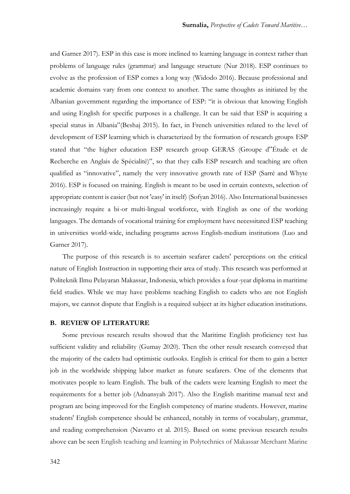and Garner 2017). ESP in this case is more inclined to learning language in context rather than problems of language rules (grammar) and language structure (Nur 2018). ESP continues to evolve as the profession of ESP comes a long way (Widodo 2016). Because professional and academic domains vary from one context to another. The same thoughts as initiated by the Albanian government regarding the importance of ESP: "it is obvious that knowing English and using English for specific purposes is a challenge. It can be said that ESP is acquiring a special status in Albania"(Beshaj 2015). In fact, in French universities related to the level of development of ESP learning which is characterized by the formation of research groups ESP stated that "the higher education ESP research group GERAS (Groupe d"Étude et de Recherche en Anglais de Spécialité)", so that they calls ESP research and teaching are often qualified as "innovative", namely the very innovative growth rate of ESP (Sarré and Whyte 2016). ESP is focused on training. English is meant to be used in certain contexts, selection of appropriate content is easier (but not 'easy' in itself) (Sofyan 2016). Also International businesses increasingly require a bi-or multi-lingual workforce, with English as one of the working languages. The demands of vocational training for employment have necessitated ESP teaching in universities world-wide, including programs across English-medium institutions (Luo and Garner 2017).

The purpose of this research is to ascertain seafarer cadets' perceptions on the critical nature of English Instruction in supporting their area of study. This research was performed at Politeknik Ilmu Pelayaran Makassar, Indonesia, which provides a four-year diploma in maritime field studies. While we may have problems teaching English to cadets who are not English majors, we cannot dispute that English is a required subject at its higher education institutions.

#### **B. REVIEW OF LITERATURE**

Some previous research results showed that the Maritime English proficiency test has sufficient validity and reliability (Gumay 2020). Then the other result research conveyed that the majority of the cadets had optimistic outlooks. English is critical for them to gain a better job in the worldwide shipping labor market as future seafarers. One of the elements that motivates people to learn English. The bulk of the cadets were learning English to meet the requirements for a better job (Adnansyah 2017). Also the English maritime manual text and program are being improved for the English competency of marine students. However, marine students' English competence should be enhanced, notably in terms of vocabulary, grammar, and reading comprehension (Navarro et al. 2015). Based on some previous research results above can be seen English teaching and learning in Polytechnics of Makassar Merchant Marine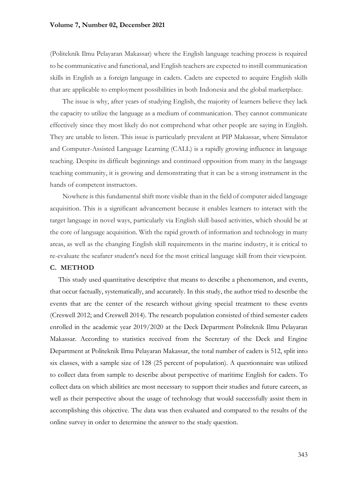### **Volume 7, Number 02, December 2021**

(Politeknik Ilmu Pelayaran Makassar) where the English language teaching process is required to be communicative and functional, and English teachers are expected to instill communication skills in English as a foreign language in cadets. Cadets are expected to acquire English skills that are applicable to employment possibilities in both Indonesia and the global marketplace.

The issue is why, after years of studying English, the majority of learners believe they lack the capacity to utilize the language as a medium of communication. They cannot communicate effectively since they most likely do not comprehend what other people are saying in English. They are unable to listen. This issue is particularly prevalent at PIP Makassar, where Simulator and Computer-Assisted Language Learning (CALL) is a rapidly growing influence in language teaching. Despite its difficult beginnings and continued opposition from many in the language teaching community, it is growing and demonstrating that it can be a strong instrument in the hands of competent instructors.

Nowhere is this fundamental shift more visible than in the field of computer aided language acquisition. This is a significant advancement because it enables learners to interact with the target language in novel ways, particularly via English skill-based activities, which should be at the core of language acquisition. With the rapid growth of information and technology in many areas, as well as the changing English skill requirements in the marine industry, it is critical to re-evaluate the seafarer student's need for the most critical language skill from their viewpoint.

### **C. METHOD**

This study used quantitative descriptive that means to describe a phenomenon, and events, that occur factually, systematically, and accurately. In this study, the author tried to describe the events that are the center of the research without giving special treatment to these events (Creswell 2012; and Creswell 2014). The research population consisted of third semester cadets enrolled in the academic year 2019/2020 at the Deck Department Politeknik Ilmu Pelayaran Makassar. According to statistics received from the Secretary of the Deck and Engine Department at Politeknik Ilmu Pelayaran Makassar, the total number of cadets is 512, split into six classes, with a sample size of 128 (25 percent of population). A questionnaire was utilized to collect data from sample to describe about perspective of maritime English for cadets. To collect data on which abilities are most necessary to support their studies and future careers, as well as their perspective about the usage of technology that would successfully assist them in accomplishing this objective. The data was then evaluated and compared to the results of the online survey in order to determine the answer to the study question.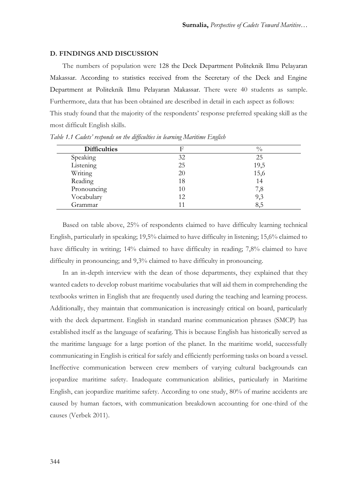### **D. FINDINGS AND DISCUSSION**

The numbers of population were 128 the Deck Department Politeknik Ilmu Pelayaran Makassar. According to statistics received from the Secretary of the Deck and Engine Department at Politeknik Ilmu Pelayaran Makassar. There were 40 students as sample. Furthermore, data that has been obtained are described in detail in each aspect as follows: This study found that the majority of the respondents' response preferred speaking skill as the most difficult English skills.

| <b>Difficulties</b> |    | $\frac{0}{0}$ |
|---------------------|----|---------------|
| Speaking            | 32 | 25            |
| Listening           | 25 | 19,5          |
| Writing             | 20 | 15,6          |
| Reading             | 18 | 14            |
| Pronouncing         | 10 | 7,8           |
| Vocabulary          | 12 | 9,3           |
| Grammar             |    | 8,5           |

*Table 1.1 Cadets' responds on the difficulties in learning Maritime English*

Based on table above, 25% of respondents claimed to have difficulty learning technical English, particularly in speaking; 19,5% claimed to have difficulty in listening; 15,6% claimed to have difficulty in writing; 14% claimed to have difficulty in reading; 7,8% claimed to have difficulty in pronouncing; and 9,3% claimed to have difficulty in pronouncing.

In an in-depth interview with the dean of those departments, they explained that they wanted cadets to develop robust maritime vocabularies that will aid them in comprehending the textbooks written in English that are frequently used during the teaching and learning process. Additionally, they maintain that communication is increasingly critical on board, particularly with the deck department. English in standard marine communication phrases (SMCP) has established itself as the language of seafaring. This is because English has historically served as the maritime language for a large portion of the planet. In the maritime world, successfully communicating in English is critical for safely and efficiently performing tasks on board a vessel. Ineffective communication between crew members of varying cultural backgrounds can jeopardize maritime safety. Inadequate communication abilities, particularly in Maritime English, can jeopardize maritime safety. According to one study, 80% of marine accidents are caused by human factors, with communication breakdown accounting for one-third of the causes (Verbek 2011).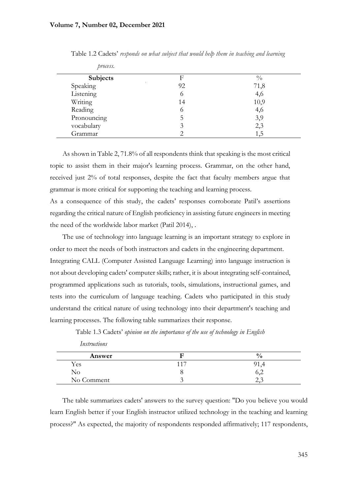*process.*

 *Instructions*

| $\mu\nu\omega\omega\mathbf{v}$ |    |               |
|--------------------------------|----|---------------|
| <b>Subjects</b>                |    | $\frac{0}{0}$ |
| Speaking                       | 92 | 71,8          |
| Listening                      | O  | 4,6           |
| Writing                        | 14 | 10,9          |
| Reading                        | O  | 4,6           |
| Pronouncing                    |    | 3,9           |
| vocabulary                     |    | 2,3           |
| Grammar                        |    | 1.5           |

Table 1.2 Cadets' *responds on what subject that would help them in teaching and learning* 

As shown in Table 2, 71.8% of all respondents think that speaking is the most critical topic to assist them in their major's learning process. Grammar, on the other hand, received just 2% of total responses, despite the fact that faculty members argue that grammar is more critical for supporting the teaching and learning process.

As a consequence of this study, the cadets' responses corroborate Patil's assertions regarding the critical nature of English proficiency in assisting future engineers in meeting the need of the worldwide labor market (Patil 2014), .

The use of technology into language learning is an important strategy to explore in order to meet the needs of both instructors and cadets in the engineering department. Integrating CALL (Computer Assisted Language Learning) into language instruction is not about developing cadets' computer skills; rather, it is about integrating self-contained, programmed applications such as tutorials, tools, simulations, instructional games, and tests into the curriculum of language teaching. Cadets who participated in this study understand the critical nature of using technology into their department's teaching and learning processes. The following table summarizes their response.

| Answer     |                 | $\frac{0}{0}$ |
|------------|-----------------|---------------|
| Yes        | 11 <sup>7</sup> |               |
| $\rm No$   |                 | ◡、∠           |
| No Comment |                 | ب و اگ        |

Table 1.3 Cadets' *opinion on the importance of the use of technology in English*

The table summarizes cadets' answers to the survey question: "Do you believe you would learn English better if your English instructor utilized technology in the teaching and learning process?" As expected, the majority of respondents responded affirmatively; 117 respondents,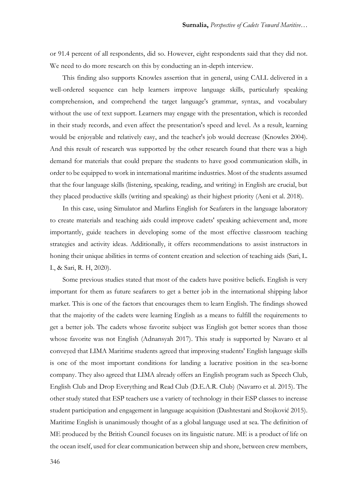or 91.4 percent of all respondents, did so. However, eight respondents said that they did not. We need to do more research on this by conducting an in-depth interview.

This finding also supports Knowles assertion that in general, using CALL delivered in a well-ordered sequence can help learners improve language skills, particularly speaking comprehension, and comprehend the target language's grammar, syntax, and vocabulary without the use of text support. Learners may engage with the presentation, which is recorded in their study records, and even affect the presentation's speed and level. As a result, learning would be enjoyable and relatively easy, and the teacher's job would decrease (Knowles 2004). And this result of research was supported by the other research found that there was a high demand for materials that could prepare the students to have good communication skills, in order to be equipped to work in international maritime industries. Most of the students assumed that the four language skills (listening, speaking, reading, and writing) in English are crucial, but they placed productive skills (writing and speaking) as their highest priority (Aeni et al. 2018).

In this case, using Simulator and Marlins English for Seafarers in the language laboratory to create materials and teaching aids could improve cadets' speaking achievement and, more importantly, guide teachers in developing some of the most effective classroom teaching strategies and activity ideas. Additionally, it offers recommendations to assist instructors in honing their unique abilities in terms of content creation and selection of teaching aids (Sari, L. I., & Sari, R. H, 2020).

Some previous studies stated that most of the cadets have positive beliefs. English is very important for them as future seafarers to get a better job in the international shipping labor market. This is one of the factors that encourages them to learn English. The findings showed that the majority of the cadets were learning English as a means to fulfill the requirements to get a better job. The cadets whose favorite subject was English got better scores than those whose favorite was not English (Adnansyah 2017). This study is supported by Navaro et al conveyed that LIMA Maritime students agreed that improving students' English language skills is one of the most important conditions for landing a lucrative position in the sea-borne company. They also agreed that LIMA already offers an English program such as Speech Club, English Club and Drop Everything and Read Club (D.E.A.R. Club) (Navarro et al. 2015). The other study stated that ESP teachers use a variety of technology in their ESP classes to increase student participation and engagement in language acquisition (Dashtestani and Stojković 2015). Maritime English is unanimously thought of as a global language used at sea. The definition of ME produced by the British Council focuses on its linguistic nature. ME is a product of life on the ocean itself, used for clear communication between ship and shore, between crew members,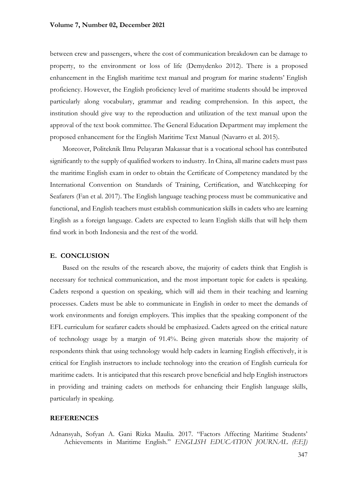### **Volume 7, Number 02, December 2021**

between crew and passengers, where the cost of communication breakdown can be damage to property, to the environment or loss of life (Demydenko 2012). There is a proposed enhancement in the English maritime text manual and program for marine students' English proficiency. However, the English proficiency level of maritime students should be improved particularly along vocabulary, grammar and reading comprehension. In this aspect, the institution should give way to the reproduction and utilization of the text manual upon the approval of the text book committee. The General Education Department may implement the proposed enhancement for the English Maritime Text Manual (Navarro et al. 2015).

Moreover, Politeknik Ilmu Pelayaran Makassar that is a vocational school has contributed significantly to the supply of qualified workers to industry. In China, all marine cadets must pass the maritime English exam in order to obtain the Certificate of Competency mandated by the International Convention on Standards of Training, Certification, and Watchkeeping for Seafarers (Fan et al. 2017). The English language teaching process must be communicative and functional, and English teachers must establish communication skills in cadets who are learning English as a foreign language. Cadets are expected to learn English skills that will help them find work in both Indonesia and the rest of the world.

### **E. CONCLUSION**

Based on the results of the research above, the majority of cadets think that English is necessary for technical communication, and the most important topic for cadets is speaking. Cadets respond a question on speaking, which will aid them in their teaching and learning processes. Cadets must be able to communicate in English in order to meet the demands of work environments and foreign employers. This implies that the speaking component of the EFL curriculum for seafarer cadets should be emphasized. Cadets agreed on the critical nature of technology usage by a margin of 91.4%. Being given materials show the majority of respondents think that using technology would help cadets in learning English effectively, it is critical for English instructors to include technology into the creation of English curricula for maritime cadets. It is anticipated that this research prove beneficial and help English instructors in providing and training cadets on methods for enhancing their English language skills, particularly in speaking.

### **REFERENCES**

Adnansyah, Sofyan A. Gani Rizka Maulia. 2017. "Factors Affecting Maritime Students' Achievements in Maritime English." *ENGLISH EDUCATION JOURNAL (EEJ)*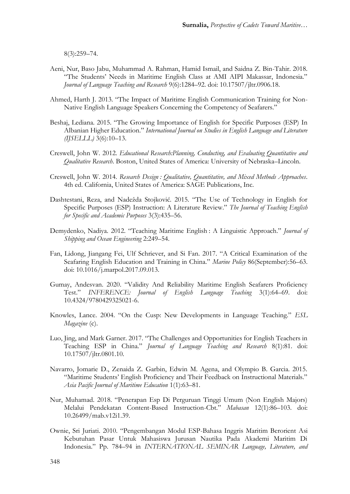8(3):259–74.

- Aeni, Nur, Baso Jabu, Muhammad A. Rahman, Hamid Ismail, and Saidna Z. Bin-Tahir. 2018. "The Students' Needs in Maritime English Class at AMI AIPI Makassar, Indonesia." *Journal of Language Teaching and Research* 9(6):1284–92. doi: 10.17507/jltr.0906.18.
- Ahmed, Harth J. 2013. "The Impact of Maritime English Communication Training for Non-Native English Language Speakers Concerning the Competency of Seafarers."
- Beshaj, Lediana. 2015. "The Growing Importance of English for Specific Purposes (ESP) In Albanian Higher Education." *International Journal on Studies in English Language and Literature (IJSELLL)* 3(6):10–13.
- Creswell, John W. 2012. *Educational Research:Planning, Conducting, and Evaluating Quantitative and Qualitative Research*. Boston, United States of America: University of Nebraska–Lincoln.
- Creswell, John W. 2014. *Research Design : Qualitative, Quantitative, and Mixed Methods Approaches*. 4th ed. California, United States of America: SAGE Publications, Inc.
- Dashtestani, Reza, and Nadežda Stojković. 2015. "The Use of Technology in English for Specific Purposes (ESP) Instruction: A Literature Review." *The Journal of Teaching English for Specific and Academic Purposes* 3(3):435–56.
- Demydenko, Nadiya. 2012. "Teaching Maritime English : A Linguistic Approach." *Journal of Shipping and Ocean Engineering* 2:249–54.
- Fan, Lidong, Jiangang Fei, Ulf Schriever, and Si Fan. 2017. "A Critical Examination of the Seafaring English Education and Training in China." *Marine Policy* 86(September):56–63. doi: 10.1016/j.marpol.2017.09.013.
- Gumay, Andesvan. 2020. "Validity And Reliability Maritime English Seafarers Proficiency Test." *INFERENCE: Journal of English Language Teaching* 3(1):64–69. doi: 10.4324/9780429325021-6.
- Knowles, Lance. 2004. "On the Cusp: New Developments in Language Teaching." *ESL Magazine* (c).
- Luo, Jing, and Mark Garner. 2017. "The Challenges and Opportunities for English Teachers in Teaching ESP in China." *Journal of Language Teaching and Research* 8(1):81. doi: 10.17507/jltr.0801.10.
- Navarro, Jomarie D., Zenaida Z. Garbin, Edwin M. Agena, and Olympio B. Garcia. 2015. "Maritime Students' English Proficiency and Their Feedback on Instructional Materials." *Asia Pacific Journal of Maritime Education* 1(1):63–81.
- Nur, Muhamad. 2018. "Penerapan Esp Di Perguruan Tinggi Umum (Non English Majors) Melalui Pendekatan Content-Based Instruction-Cbt." *Mabasan* 12(1):86–103. doi: 10.26499/mab.v12i1.39.
- Ownie, Sri Juriati. 2010. "Pengembangan Modul ESP-Bahasa Inggris Maritim Berorient Asi Kebutuhan Pasar Untuk Mahasiswa Jurusan Nautika Pada Akademi Maritim Di Indonesia." Pp. 784–94 in *INTERNATIONAL SEMINAR Language, Literature, and*